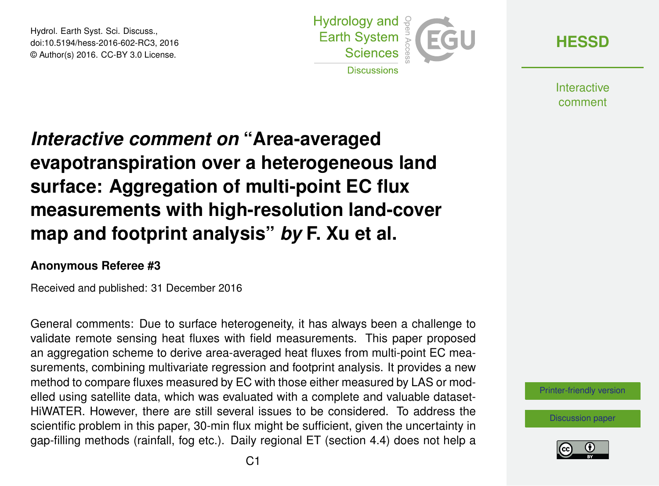Hydrol. Earth Syst. Sci. Discuss., doi:10.5194/hess-2016-602-RC3, 2016 © Author(s) 2016. CC-BY 3.0 License.



**[HESSD](http://www.hydrol-earth-syst-sci-discuss.net/)**

**Interactive** comment

## *Interactive comment on* **"Area-averaged evapotranspiration over a heterogeneous land surface: Aggregation of multi-point EC flux measurements with high-resolution land-cover map and footprint analysis"** *by* **F. Xu et al.**

## **Anonymous Referee #3**

Received and published: 31 December 2016

General comments: Due to surface heterogeneity, it has always been a challenge to validate remote sensing heat fluxes with field measurements. This paper proposed an aggregation scheme to derive area-averaged heat fluxes from multi-point EC measurements, combining multivariate regression and footprint analysis. It provides a new method to compare fluxes measured by EC with those either measured by LAS or modelled using satellite data, which was evaluated with a complete and valuable dataset-HiWATER. However, there are still several issues to be considered. To address the scientific problem in this paper, 30-min flux might be sufficient, given the uncertainty in gap-filling methods (rainfall, fog etc.). Daily regional ET (section 4.4) does not help a

[Printer-friendly version](http://www.hydrol-earth-syst-sci-discuss.net/hess-2016-602/hess-2016-602-RC3-print.pdf)

[Discussion paper](http://www.hydrol-earth-syst-sci-discuss.net/hess-2016-602)